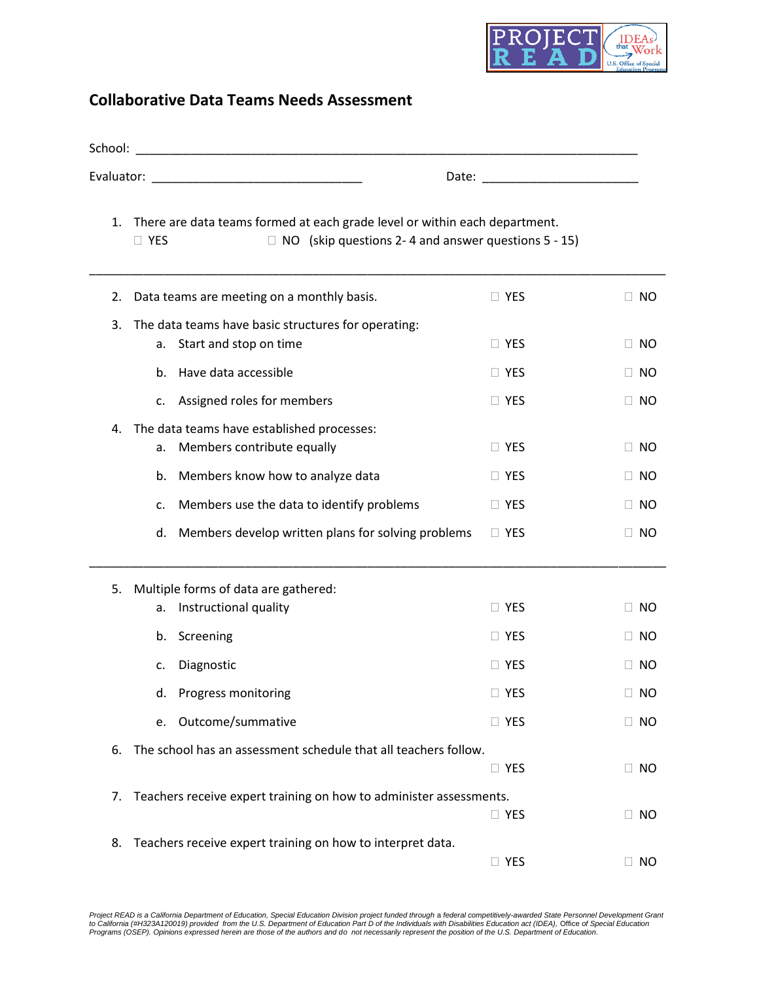

## **Collaborative Data Teams Needs Assessment**

| School: |                                                                                                                                                        |                                                                                                                                                                                                                               |           |  |  |
|---------|--------------------------------------------------------------------------------------------------------------------------------------------------------|-------------------------------------------------------------------------------------------------------------------------------------------------------------------------------------------------------------------------------|-----------|--|--|
|         |                                                                                                                                                        | Date: Date: Date: Date: Date: Date: Date: Date: Date: Date: Date: Date: Date: Date: Date: Date: Date: Date: Date: Date: Date: Date: Date: Date: Date: Date: Date: Date: Date: Date: Date: Date: Date: Date: Date: Date: Date: |           |  |  |
| 1.      | There are data teams formed at each grade level or within each department.<br>$\Box$ NO (skip questions 2-4 and answer questions 5 - 15)<br>$\Box$ YES |                                                                                                                                                                                                                               |           |  |  |
| 2.      | Data teams are meeting on a monthly basis.                                                                                                             | $\Box$ YES                                                                                                                                                                                                                    | $\Box$ No |  |  |
| 3.      | The data teams have basic structures for operating:<br>Start and stop on time<br>а.                                                                    | $\Box$ YES                                                                                                                                                                                                                    | $\Box$ NO |  |  |
|         | Have data accessible<br>b.                                                                                                                             | $\Box$ YES                                                                                                                                                                                                                    | $\Box$ No |  |  |
|         | Assigned roles for members<br>c.                                                                                                                       | $\Box$ YES                                                                                                                                                                                                                    | $\Box$ No |  |  |
| 4.      | The data teams have established processes:<br>Members contribute equally<br>a.                                                                         | $\Box$ YES                                                                                                                                                                                                                    | $\Box$ NO |  |  |
|         | Members know how to analyze data<br>b.                                                                                                                 | $\Box$ YES                                                                                                                                                                                                                    | $\Box$ No |  |  |
|         | Members use the data to identify problems<br>c.                                                                                                        | $\Box$ YES                                                                                                                                                                                                                    | $\Box$ NO |  |  |
|         | Members develop written plans for solving problems<br>d.                                                                                               | $\Box$ YES                                                                                                                                                                                                                    | $\Box$ NO |  |  |
| 5.      | Multiple forms of data are gathered:                                                                                                                   |                                                                                                                                                                                                                               |           |  |  |
|         | Instructional quality<br>а.                                                                                                                            | $\Box$ YES                                                                                                                                                                                                                    | $\Box$ No |  |  |
|         | Screening<br>b.                                                                                                                                        | $\Box$ YES                                                                                                                                                                                                                    | $\Box$ No |  |  |
|         | Diagnostic<br>c.                                                                                                                                       | $\Box$ YES                                                                                                                                                                                                                    | $\Box$ No |  |  |
|         | Progress monitoring<br>d.                                                                                                                              | $\Box$ Yes                                                                                                                                                                                                                    | $\Box$ No |  |  |
|         | Outcome/summative<br>e.                                                                                                                                | $\Box$ YES                                                                                                                                                                                                                    | $\Box$ No |  |  |
| 6.      | The school has an assessment schedule that all teachers follow.                                                                                        | $\Box$ YES                                                                                                                                                                                                                    | $\Box$ NO |  |  |
| 7.      | Teachers receive expert training on how to administer assessments.                                                                                     | $\Box$ YES                                                                                                                                                                                                                    | $\Box$ No |  |  |
| 8.      | Teachers receive expert training on how to interpret data.                                                                                             | $\Box$ YES                                                                                                                                                                                                                    | NO.       |  |  |